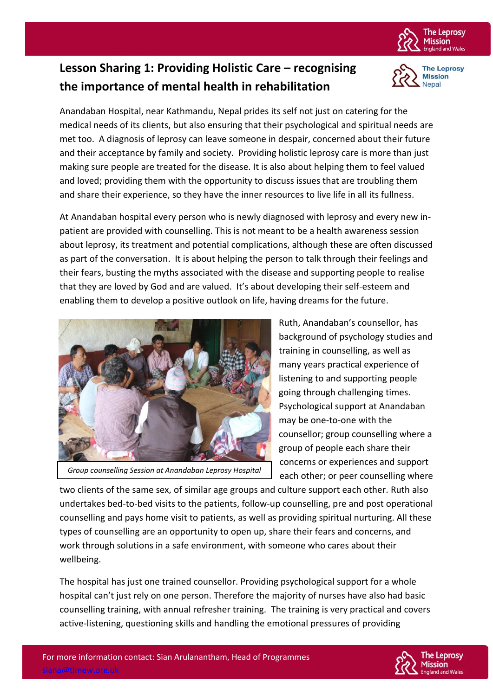

**The Leprosy Mission** Nepal

## **Lesson Sharing 1: Providing Holistic Care – recognising the importance of mental health in rehabilitation**

Anandaban Hospital, near Kathmandu, Nepal prides its self not just on catering for the medical needs of its clients, but also ensuring that their psychological and spiritual needs are met too. A diagnosis of leprosy can leave someone in despair, concerned about their future and their acceptance by family and society. Providing holistic leprosy care is more than just making sure people are treated for the disease. It is also about helping them to feel valued and loved; providing them with the opportunity to discuss issues that are troubling them and share their experience, so they have the inner resources to live life in all its fullness.

At Anandaban hospital every person who is newly diagnosed with leprosy and every new inpatient are provided with counselling. This is not meant to be a health awareness session about leprosy, its treatment and potential complications, although these are often discussed as part of the conversation. It is about helping the person to talk through their feelings and their fears, busting the myths associated with the disease and supporting people to realise that they are loved by God and are valued. It's about developing their self-esteem and enabling them to develop a positive outlook on life, having dreams for the future.



*Group counselling Session at Anandaban Leprosy Hospital*

Ruth, Anandaban's counsellor, has background of psychology studies and training in counselling, as well as many years practical experience of listening to and supporting people going through challenging times. Psychological support at Anandaban may be one-to-one with the counsellor; group counselling where a group of people each share their concerns or experiences and support each other; or peer counselling where

two clients of the same sex, of similar age groups and culture support each other. Ruth also undertakes bed-to-bed visits to the patients, follow-up counselling, pre and post operational counselling and pays home visit to patients, as well as providing spiritual nurturing. All these types of counselling are an opportunity to open up, share their fears and concerns, and work through solutions in a safe environment, with someone who cares about their wellbeing.

The hospital has just one trained counsellor. Providing psychological support for a whole hospital can't just rely on one person. Therefore the majority of nurses have also had basic counselling training, with annual refresher training. The training is very practical and covers active-listening, questioning skills and handling the emotional pressures of providing